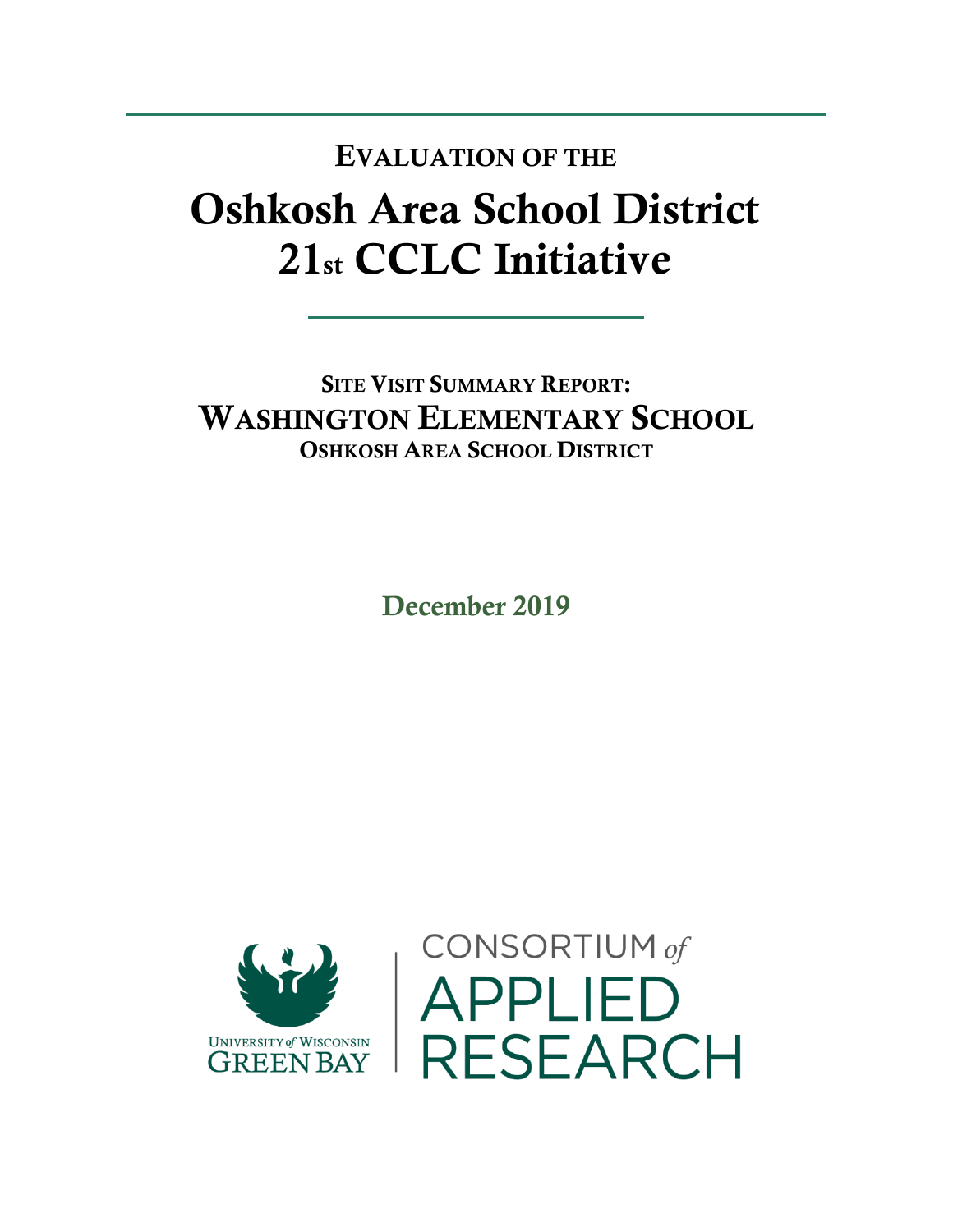## Oshkosh Area School District 21st CCLC Initiative EVALUATION OF THE

SITE VISIT SUMMARY REPORT: WASHINGTON ELEMENTARY SCHOOL OSHKOSH AREA SCHOOL DISTRICT

December 2019



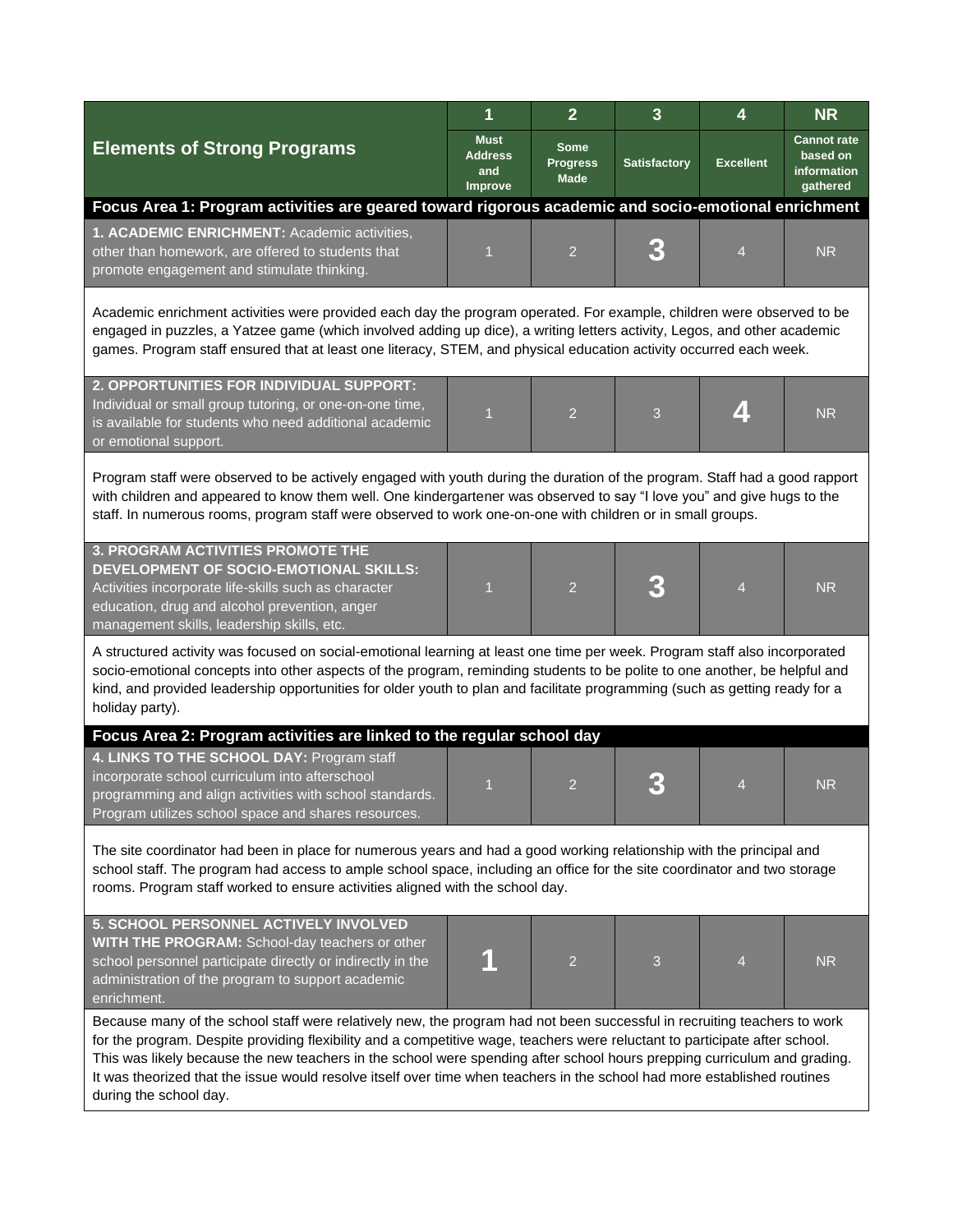|                                                                                                                                                                                                                                                                                                                                                                                                                                                                                                                                           | 1                                               | $\overline{2}$                                | 3                   | 4                | <b>NR</b>                                                        |  |  |  |  |
|-------------------------------------------------------------------------------------------------------------------------------------------------------------------------------------------------------------------------------------------------------------------------------------------------------------------------------------------------------------------------------------------------------------------------------------------------------------------------------------------------------------------------------------------|-------------------------------------------------|-----------------------------------------------|---------------------|------------------|------------------------------------------------------------------|--|--|--|--|
| <b>Elements of Strong Programs</b>                                                                                                                                                                                                                                                                                                                                                                                                                                                                                                        | <b>Must</b><br><b>Address</b><br>and<br>Improve | <b>Some</b><br><b>Progress</b><br><b>Made</b> | <b>Satisfactory</b> | <b>Excellent</b> | <b>Cannot rate</b><br>based on<br><b>information</b><br>gathered |  |  |  |  |
| Focus Area 1: Program activities are geared toward rigorous academic and socio-emotional enrichment                                                                                                                                                                                                                                                                                                                                                                                                                                       |                                                 |                                               |                     |                  |                                                                  |  |  |  |  |
| 1. ACADEMIC ENRICHMENT: Academic activities,<br>other than homework, are offered to students that<br>promote engagement and stimulate thinking.                                                                                                                                                                                                                                                                                                                                                                                           | $\overline{1}$                                  | $\overline{2}$                                |                     | $\overline{4}$   | <b>NR</b>                                                        |  |  |  |  |
| Academic enrichment activities were provided each day the program operated. For example, children were observed to be<br>engaged in puzzles, a Yatzee game (which involved adding up dice), a writing letters activity, Legos, and other academic<br>games. Program staff ensured that at least one literacy, STEM, and physical education activity occurred each week.                                                                                                                                                                   |                                                 |                                               |                     |                  |                                                                  |  |  |  |  |
| 2. OPPORTUNITIES FOR INDIVIDUAL SUPPORT:<br>Individual or small group tutoring, or one-on-one time,<br>is available for students who need additional academic<br>or emotional support.                                                                                                                                                                                                                                                                                                                                                    | 1                                               | $\overline{2}$                                | 3                   |                  | <b>NR</b>                                                        |  |  |  |  |
| Program staff were observed to be actively engaged with youth during the duration of the program. Staff had a good rapport<br>with children and appeared to know them well. One kindergartener was observed to say "I love you" and give hugs to the<br>staff. In numerous rooms, program staff were observed to work one-on-one with children or in small groups.                                                                                                                                                                        |                                                 |                                               |                     |                  |                                                                  |  |  |  |  |
| 3. PROGRAM ACTIVITIES PROMOTE THE<br>DEVELOPMENT OF SOCIO-EMOTIONAL SKILLS:<br>Activities incorporate life-skills such as character<br>education, drug and alcohol prevention, anger<br>management skills, leadership skills, etc.                                                                                                                                                                                                                                                                                                        | 1                                               | $\overline{2}$                                |                     | $\overline{4}$   | <b>NR</b>                                                        |  |  |  |  |
| A structured activity was focused on social-emotional learning at least one time per week. Program staff also incorporated<br>socio-emotional concepts into other aspects of the program, reminding students to be polite to one another, be helpful and<br>kind, and provided leadership opportunities for older youth to plan and facilitate programming (such as getting ready for a<br>holiday party).                                                                                                                                |                                                 |                                               |                     |                  |                                                                  |  |  |  |  |
| Focus Area 2: Program activities are linked to the regular school day<br>4. LINKS TO THE SCHOOL DAY: Program staff<br>incorporate school curriculum into afterschool<br>programming and align activities with school standards.<br>Program utilizes school space and shares resources.                                                                                                                                                                                                                                                    |                                                 | 2                                             |                     |                  | NR                                                               |  |  |  |  |
| The site coordinator had been in place for numerous years and had a good working relationship with the principal and<br>school staff. The program had access to ample school space, including an office for the site coordinator and two storage<br>rooms. Program staff worked to ensure activities aligned with the school day.                                                                                                                                                                                                         |                                                 |                                               |                     |                  |                                                                  |  |  |  |  |
| 5. SCHOOL PERSONNEL ACTIVELY INVOLVED<br>WITH THE PROGRAM: School-day teachers or other<br>school personnel participate directly or indirectly in the<br>administration of the program to support academic<br>enrichment.                                                                                                                                                                                                                                                                                                                 |                                                 | $\overline{2}$                                | 3                   | $\overline{4}$   | <b>NR</b>                                                        |  |  |  |  |
| Because many of the school staff were relatively new, the program had not been successful in recruiting teachers to work<br>for the program. Despite providing flexibility and a competitive wage, teachers were reluctant to participate after school.<br>This was likely because the new teachers in the school were spending after school hours prepping curriculum and grading.<br>It was theorized that the issue would resolve itself over time when teachers in the school had more established routines<br>during the school day. |                                                 |                                               |                     |                  |                                                                  |  |  |  |  |